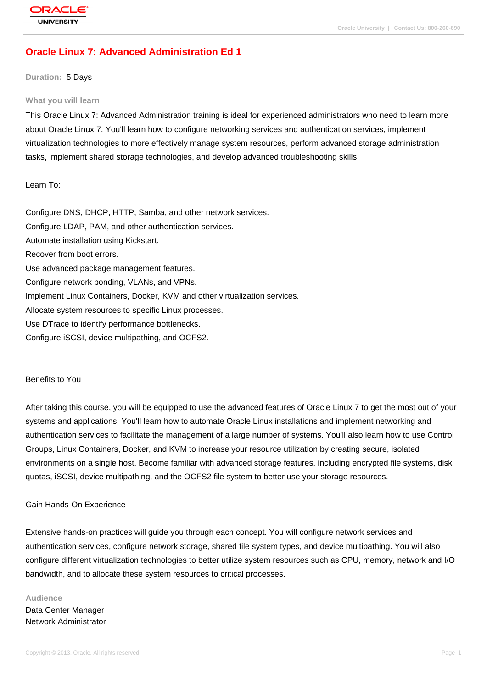# **[Oracle Linux 7](http://education.oracle.com/pls/web_prod-plq-dad/db_pages.getpage?page_id=3): Advanced Administration Ed 1**

#### **Duration:** 5 Days

#### **What you will learn**

This Oracle Linux 7: Advanced Administration training is ideal for experienced administrators who need to learn more about Oracle Linux 7. You'll learn how to configure networking services and authentication services, implement virtualization technologies to more effectively manage system resources, perform advanced storage administration tasks, implement shared storage technologies, and develop advanced troubleshooting skills.

#### Learn To:

Configure DNS, DHCP, HTTP, Samba, and other network services. Configure LDAP, PAM, and other authentication services. Automate installation using Kickstart. Recover from boot errors. Use advanced package management features. Configure network bonding, VLANs, and VPNs. Implement Linux Containers, Docker, KVM and other virtualization services. Allocate system resources to specific Linux processes. Use DTrace to identify performance bottlenecks. Configure iSCSI, device multipathing, and OCFS2.

#### Benefits to You

After taking this course, you will be equipped to use the advanced features of Oracle Linux 7 to get the most out of your systems and applications. You'll learn how to automate Oracle Linux installations and implement networking and authentication services to facilitate the management of a large number of systems. You'll also learn how to use Control Groups, Linux Containers, Docker, and KVM to increase your resource utilization by creating secure, isolated environments on a single host. Become familiar with advanced storage features, including encrypted file systems, disk quotas, iSCSI, device multipathing, and the OCFS2 file system to better use your storage resources.

#### Gain Hands-On Experience

Extensive hands-on practices will guide you through each concept. You will configure network services and authentication services, configure network storage, shared file system types, and device multipathing. You will also configure different virtualization technologies to better utilize system resources such as CPU, memory, network and I/O bandwidth, and to allocate these system resources to critical processes.

# **Audience** Data Center Manager Network Administrator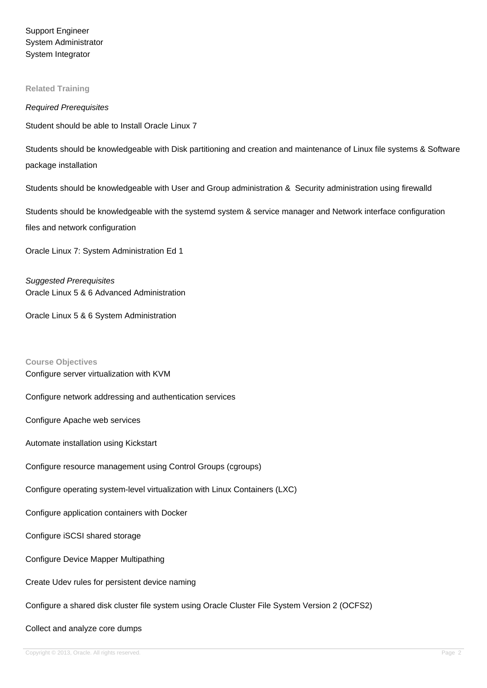Support Engineer System Administrator System Integrator

#### **Related Training**

#### Required Prerequisites

Student should be able to Install Oracle Linux 7

Students should be knowledgeable with Disk partitioning and creation and maintenance of Linux file systems & Software package installation

Students should be knowledgeable with User and Group administration & Security administration using firewalld

Students should be knowledgeable with the systemd system & service manager and Network interface configuration files and network configuration

Oracle Linux 7: System Administration Ed 1

Suggested Prerequisites Oracle Linux 5 & 6 Advanced Administration

Oracle Linux 5 & 6 System Administration

**Course Objectives** Configure server virtualization with KVM

Configure network addressing and authentication services

Configure Apache web services

Automate installation using Kickstart

Configure resource management using Control Groups (cgroups)

Configure operating system-level virtualization with Linux Containers (LXC)

Configure application containers with Docker

Configure iSCSI shared storage

Configure Device Mapper Multipathing

Create Udev rules for persistent device naming

Configure a shared disk cluster file system using Oracle Cluster File System Version 2 (OCFS2)

Collect and analyze core dumps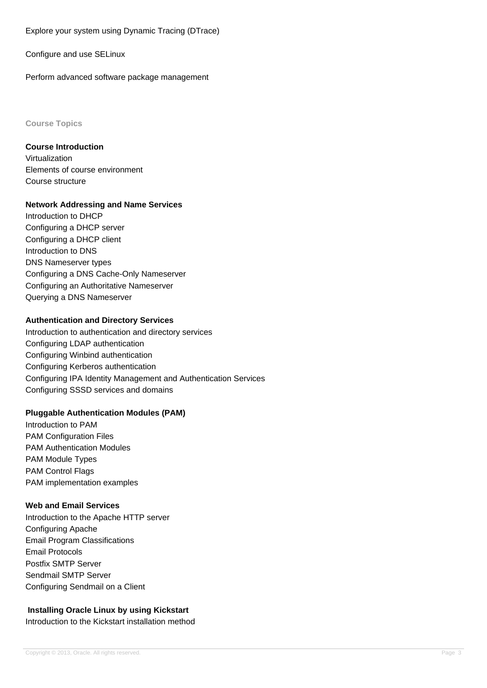Explore your system using Dynamic Tracing (DTrace)

Configure and use SELinux

Perform advanced software package management

**Course Topics**

## **Course Introduction**

Virtualization Elements of course environment Course structure

## **Network Addressing and Name Services**

Introduction to DHCP Configuring a DHCP server Configuring a DHCP client Introduction to DNS DNS Nameserver types Configuring a DNS Cache-Only Nameserver Configuring an Authoritative Nameserver Querying a DNS Nameserver

## **Authentication and Directory Services**

Introduction to authentication and directory services Configuring LDAP authentication Configuring Winbind authentication Configuring Kerberos authentication Configuring IPA Identity Management and Authentication Services Configuring SSSD services and domains

## **Pluggable Authentication Modules (PAM)**

Introduction to PAM PAM Configuration Files PAM Authentication Modules PAM Module Types PAM Control Flags PAM implementation examples

## **Web and Email Services**

Introduction to the Apache HTTP server Configuring Apache Email Program Classifications Email Protocols Postfix SMTP Server Sendmail SMTP Server Configuring Sendmail on a Client

# **Installing Oracle Linux by using Kickstart**

Introduction to the Kickstart installation method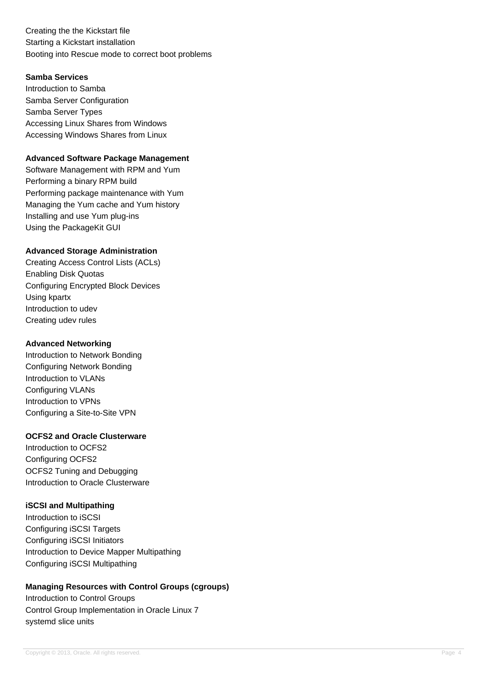Creating the the Kickstart file Starting a Kickstart installation Booting into Rescue mode to correct boot problems

# **Samba Services**

Introduction to Samba Samba Server Configuration Samba Server Types Accessing Linux Shares from Windows Accessing Windows Shares from Linux

## **Advanced Software Package Management**

Software Management with RPM and Yum Performing a binary RPM build Performing package maintenance with Yum Managing the Yum cache and Yum history Installing and use Yum plug-ins Using the PackageKit GUI

# **Advanced Storage Administration**

Creating Access Control Lists (ACLs) Enabling Disk Quotas Configuring Encrypted Block Devices Using kpartx Introduction to udev Creating udev rules

## **Advanced Networking**

Introduction to Network Bonding Configuring Network Bonding Introduction to VLANs Configuring VLANs Introduction to VPNs Configuring a Site-to-Site VPN

## **OCFS2 and Oracle Clusterware**

Introduction to OCFS2 Configuring OCFS2 OCFS2 Tuning and Debugging Introduction to Oracle Clusterware

## **iSCSI and Multipathing**

Introduction to iSCSI Configuring iSCSI Targets Configuring iSCSI Initiators Introduction to Device Mapper Multipathing Configuring iSCSI Multipathing

# **Managing Resources with Control Groups (cgroups)**

Introduction to Control Groups Control Group Implementation in Oracle Linux 7 systemd slice units